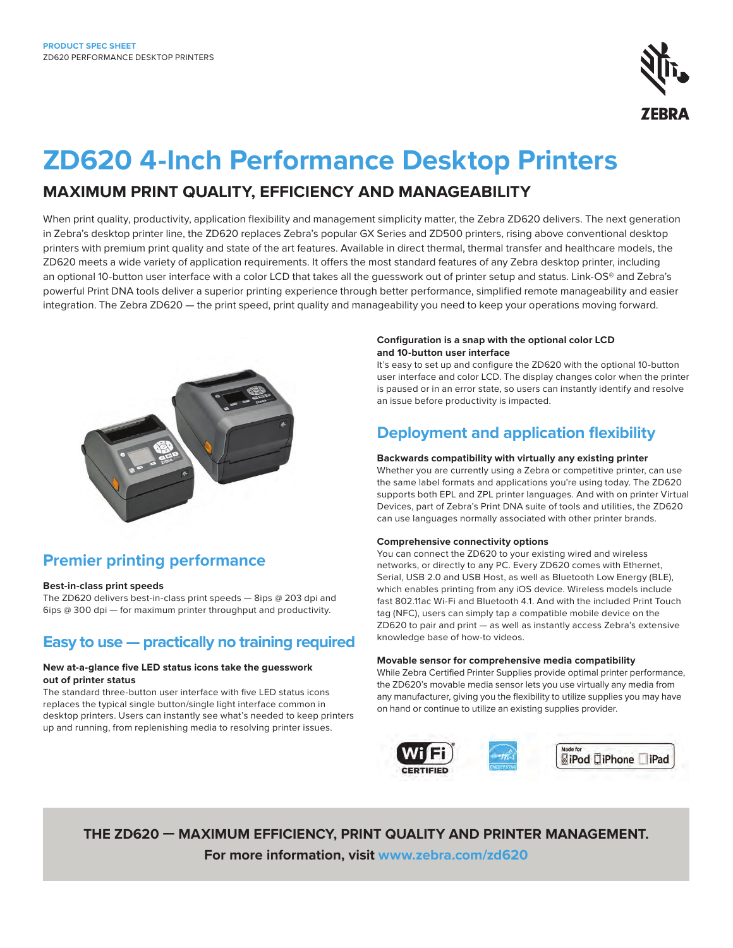

# **ZD620 4-Inch Performance Desktop Printers**

## **MAXIMUM PRINT QUALITY, EFFICIENCY AND MANAGEABILITY**

When print quality, productivity, application flexibility and management simplicity matter, the Zebra ZD620 delivers. The next generation in Zebra's desktop printer line, the ZD620 replaces Zebra's popular GX Series and ZD500 printers, rising above conventional desktop printers with premium print quality and state of the art features. Available in direct thermal, thermal transfer and healthcare models, the ZD620 meets a wide variety of application requirements. It offers the most standard features of any Zebra desktop printer, including an optional 10-button user interface with a color LCD that takes all the guesswork out of printer setup and status. Link-OS® and Zebra's powerful Print DNA tools deliver a superior printing experience through better performance, simplified remote manageability and easier integration. The Zebra ZD620 — the print speed, print quality and manageability you need to keep your operations moving forward.



## **Premier printing performance**

#### **Best-in-class print speeds**

The ZD620 delivers best-in-class print speeds — 8ips @ 203 dpi and 6ips @ 300 dpi — for maximum printer throughput and productivity.

### **Easy to use — practically no training required**

#### **New at-a-glance five LED status icons take the guesswork out of printer status**

The standard three-button user interface with five LED status icons replaces the typical single button/single light interface common in desktop printers. Users can instantly see what's needed to keep printers up and running, from replenishing media to resolving printer issues.

#### **Configuration is a snap with the optional color LCD and 10-button user interface**

It's easy to set up and configure the ZD620 with the optional 10-button user interface and color LCD. The display changes color when the printer is paused or in an error state, so users can instantly identify and resolve an issue before productivity is impacted.

## **Deployment and application flexibility**

#### **Backwards compatibility with virtually any existing printer**

Whether you are currently using a Zebra or competitive printer, can use the same label formats and applications you're using today. The ZD620 supports both EPL and ZPL printer languages. And with on printer Virtual Devices, part of Zebra's Print DNA suite of tools and utilities, the ZD620 can use languages normally associated with other printer brands.

#### **Comprehensive connectivity options**

You can connect the ZD620 to your existing wired and wireless networks, or directly to any PC. Every ZD620 comes with Ethernet, Serial, USB 2.0 and USB Host, as well as Bluetooth Low Energy (BLE), which enables printing from any iOS device. Wireless models include fast 802.11ac Wi-Fi and Bluetooth 4.1. And with the included Print Touch tag (NFC), users can simply tap a compatible mobile device on the ZD620 to pair and print — as well as instantly access Zebra's extensive knowledge base of how-to videos.

#### **Movable sensor for comprehensive media compatibility**

While Zebra Certified Printer Supplies provide optimal printer performance, the ZD620's movable media sensor lets you use virtually any media from any manufacturer, giving you the flexibility to utilize supplies you may have on hand or continue to utilize an existing supplies provider.



**THE ZD620 — MAXIMUM EFFICIENCY, PRINT QUALITY AND PRINTER MANAGEMENT. For more information, visit [www.zebra.com/z](http://www.zebra.com/zd620)d620**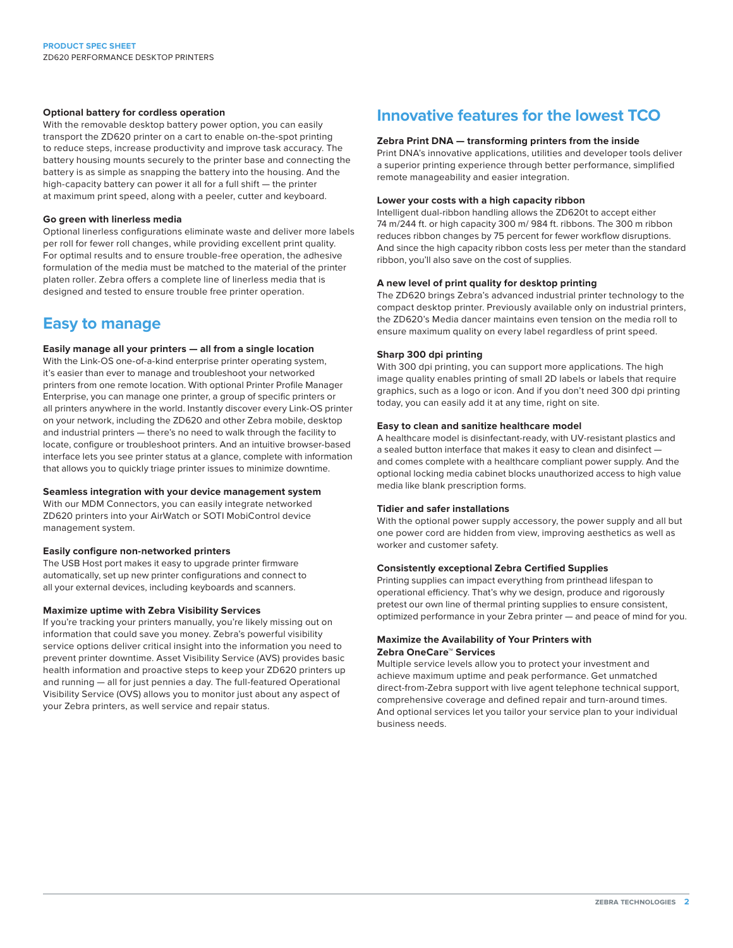#### **Optional battery for cordless operation**

With the removable desktop battery power option, you can easily transport the ZD620 printer on a cart to enable on-the-spot printing to reduce steps, increase productivity and improve task accuracy. The battery housing mounts securely to the printer base and connecting the battery is as simple as snapping the battery into the housing. And the high-capacity battery can power it all for a full shift — the printer at maximum print speed, along with a peeler, cutter and keyboard.

#### **Go green with linerless media**

Optional linerless configurations eliminate waste and deliver more labels per roll for fewer roll changes, while providing excellent print quality. For optimal results and to ensure trouble-free operation, the adhesive formulation of the media must be matched to the material of the printer platen roller. Zebra offers a complete line of linerless media that is designed and tested to ensure trouble free printer operation.

### **Easy to manage**

#### **Easily manage all your printers — all from a single location**

With the Link-OS one-of-a-kind enterprise printer operating system, it's easier than ever to manage and troubleshoot your networked printers from one remote location. With optional Printer Profile Manager Enterprise, you can manage one printer, a group of specific printers or all printers anywhere in the world. Instantly discover every Link-OS printer on your network, including the ZD620 and other Zebra mobile, desktop and industrial printers — there's no need to walk through the facility to locate, configure or troubleshoot printers. And an intuitive browser-based interface lets you see printer status at a glance, complete with information that allows you to quickly triage printer issues to minimize downtime.

#### **Seamless integration with your device management system**

With our MDM Connectors, you can easily integrate networked ZD620 printers into your AirWatch or SOTI MobiControl device management system.

#### **Easily configure non-networked printers**

The USB Host port makes it easy to upgrade printer firmware automatically, set up new printer configurations and connect to all your external devices, including keyboards and scanners.

#### **Maximize uptime with Zebra Visibility Services**

If you're tracking your printers manually, you're likely missing out on information that could save you money. Zebra's powerful visibility service options deliver critical insight into the information you need to prevent printer downtime. Asset Visibility Service (AVS) provides basic health information and proactive steps to keep your ZD620 printers up and running — all for just pennies a day. The full-featured Operational Visibility Service (OVS) allows you to monitor just about any aspect of your Zebra printers, as well service and repair status.

### **Innovative features for the lowest TCO**

#### **Zebra Print DNA — transforming printers from the inside**

Print DNA's innovative applications, utilities and developer tools deliver a superior printing experience through better performance, simplified remote manageability and easier integration.

#### **Lower your costs with a high capacity ribbon**

Intelligent dual-ribbon handling allows the ZD620t to accept either 74 m/244 ft. or high capacity 300 m/ 984 ft. ribbons. The 300 m ribbon reduces ribbon changes by 75 percent for fewer workflow disruptions. And since the high capacity ribbon costs less per meter than the standard ribbon, you'll also save on the cost of supplies.

#### **A new level of print quality for desktop printing**

The ZD620 brings Zebra's advanced industrial printer technology to the compact desktop printer. Previously available only on industrial printers, the ZD620's Media dancer maintains even tension on the media roll to ensure maximum quality on every label regardless of print speed.

#### **Sharp 300 dpi printing**

With 300 dpi printing, you can support more applications. The high image quality enables printing of small 2D labels or labels that require graphics, such as a logo or icon. And if you don't need 300 dpi printing today, you can easily add it at any time, right on site.

#### **Easy to clean and sanitize healthcare model**

A healthcare model is disinfectant-ready, with UV-resistant plastics and a sealed button interface that makes it easy to clean and disinfect and comes complete with a healthcare compliant power supply. And the optional locking media cabinet blocks unauthorized access to high value media like blank prescription forms.

#### **Tidier and safer installations**

With the optional power supply accessory, the power supply and all but one power cord are hidden from view, improving aesthetics as well as worker and customer safety.

#### **Consistently exceptional Zebra Certified Supplies**

Printing supplies can impact everything from printhead lifespan to operational efficiency. That's why we design, produce and rigorously pretest our own line of thermal printing supplies to ensure consistent, optimized performance in your Zebra printer — and peace of mind for you.

#### **Maximize the Availability of Your Printers with Zebra OneCare™ Services**

Multiple service levels allow you to protect your investment and achieve maximum uptime and peak performance. Get unmatched direct-from-Zebra support with live agent telephone technical support, comprehensive coverage and defined repair and turn-around times. And optional services let you tailor your service plan to your individual business needs.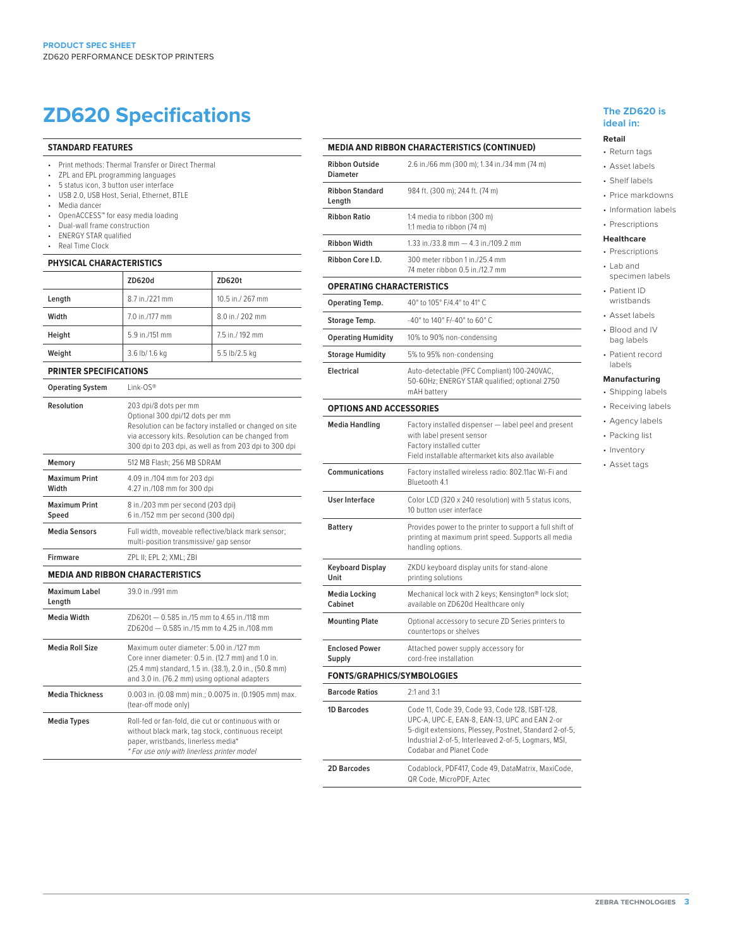## **ZD620 Specifications The ZD620 is**

#### **STANDARD FEATURES**

- Print methods: Thermal Transfer or Direct Thermal
- ZPL and EPL programming languages
- 5 status icon, 3 button user interface
- USB 2.0, USB Host, Serial, Ethernet, BTLE
- Media dancer<br>• OpenACCESS
- OpenACCESS™ for easy media loading
- Dual-wall frame construction
- ENERGY STAR qualified<br>• Real Time Clock
- Real Time Clock

### **PHYSICAL CHARACTERISTICS**

|        | ZD620d         | ZD620t           |
|--------|----------------|------------------|
| Length | 8.7 in./221 mm | 10.5 in./ 267 mm |
| Width  | 7.0 in./177 mm | 8.0 in./ 202 mm  |
| Height | 5.9 in./151 mm | 7.5 in./192 mm   |
| Weight | 3.6 lb/ 1.6 kg | 5.5 lb/2.5 kg    |

#### **PRINTER SPECIFICATIONS**

| <b>Operating System</b>                 | Link-OS®                                                                                                                                                                                                                           |  |
|-----------------------------------------|------------------------------------------------------------------------------------------------------------------------------------------------------------------------------------------------------------------------------------|--|
| Resolution                              | 203 dpi/8 dots per mm<br>Optional 300 dpi/12 dots per mm<br>Resolution can be factory installed or changed on site<br>via accessory kits. Resolution can be changed from<br>300 dpi to 203 dpi, as well as from 203 dpi to 300 dpi |  |
| Memory                                  | 512 MB Flash: 256 MB SDRAM                                                                                                                                                                                                         |  |
| <b>Maximum Print</b><br>Width           | 4.09 in./104 mm for 203 dpi<br>4.27 in./108 mm for 300 dpi                                                                                                                                                                         |  |
| <b>Maximum Print</b><br>Speed           | 8 in./203 mm per second (203 dpi)<br>6 in./152 mm per second (300 dpi)                                                                                                                                                             |  |
| <b>Media Sensors</b>                    | Full width, moveable reflective/black mark sensor;<br>multi-position transmissive/ gap sensor                                                                                                                                      |  |
| Firmware                                | ZPL II; EPL 2; XML; ZBI                                                                                                                                                                                                            |  |
| <b>MEDIA AND RIBBON CHARACTERISTICS</b> |                                                                                                                                                                                                                                    |  |
| Maximum Label<br>Length                 | 39.0 in /991 mm                                                                                                                                                                                                                    |  |
| Media Width                             | 7D620t - 0.585 in /15 mm to 4.65 in /118 mm<br>7D620d - 0.585 in /15 mm to 4.25 in /108 mm                                                                                                                                         |  |
| Media Roll Size                         | Maximum outer diameter: 5.00 in./127 mm<br>Core inner diameter: 0.5 in. (12.7 mm) and 1.0 in.<br>(25.4 mm) standard, 1.5 in. (38.1), 2.0 in., (50.8 mm)<br>and 3.0 in. (76.2 mm) using optional adapters                           |  |
| <b>Media Thickness</b>                  | 0.003 in. (0.08 mm) min.; 0.0075 in. (0.1905 mm) max.<br>(tear-off mode only)                                                                                                                                                      |  |
| <b>Media Types</b>                      | Roll-fed or fan-fold, die cut or continuous with or<br>without black mark, tag stock, continuous receipt<br>paper, wristbands, linerless media*<br>* For use only with linerless printer model                                     |  |

|                                          | <b>MEDIA AND RIBBON CHARACTERISTICS (CONTINUED)</b>                                                                                                                                                                                          |
|------------------------------------------|----------------------------------------------------------------------------------------------------------------------------------------------------------------------------------------------------------------------------------------------|
| <b>Ribbon Outside</b><br><b>Diameter</b> | 2.6 in./66 mm (300 m); 1.34 in./34 mm (74 m)                                                                                                                                                                                                 |
| <b>Ribbon Standard</b><br>Length         | 984 ft. (300 m); 244 ft. (74 m)                                                                                                                                                                                                              |
| <b>Ribbon Ratio</b>                      | 1:4 media to ribbon (300 m)<br>1:1 media to ribbon (74 m)                                                                                                                                                                                    |
| <b>Ribbon Width</b>                      | 1.33 in./33.8 mm - 4.3 in./109.2 mm                                                                                                                                                                                                          |
| Ribbon Core I.D.                         | 300 meter ribbon 1 in./25.4 mm<br>74 meter ribbon 0.5 in./12.7 mm                                                                                                                                                                            |
| <b>OPERATING CHARACTERISTICS</b>         |                                                                                                                                                                                                                                              |
| Operating Temp.                          | 40° to 105° F/4.4° to 41° C                                                                                                                                                                                                                  |
| Storage Temp.                            | -40° to 140° F/-40° to 60° C                                                                                                                                                                                                                 |
| <b>Operating Humidity</b>                | 10% to 90% non-condensing                                                                                                                                                                                                                    |
| <b>Storage Humidity</b>                  | 5% to 95% non-condensing                                                                                                                                                                                                                     |
| <b>Electrical</b>                        | Auto-detectable (PFC Compliant) 100-240VAC,<br>50-60Hz; ENERGY STAR qualified; optional 2750<br>mAH battery                                                                                                                                  |
| <b>OPTIONS AND ACCESSORIES</b>           |                                                                                                                                                                                                                                              |
| <b>Media Handling</b>                    | Factory installed dispenser - label peel and present<br>with label present sensor<br>Factory installed cutter<br>Field installable aftermarket kits also available                                                                           |
| Communications                           | Factory installed wireless radio: 802.11ac Wi-Fi and<br>Bluetooth 4.1                                                                                                                                                                        |
| <b>User Interface</b>                    | Color LCD (320 x 240 resolution) with 5 status icons,<br>10 button user interface                                                                                                                                                            |
| <b>Battery</b>                           | Provides power to the printer to support a full shift of<br>printing at maximum print speed. Supports all media<br>handling options.                                                                                                         |
| Keyboard Display<br>Unit                 | ZKDU keyboard display units for stand-alone<br>printing solutions                                                                                                                                                                            |
| Media Locking<br>Cabinet                 | Mechanical lock with 2 keys; Kensington® lock slot;<br>available on ZD620d Healthcare only                                                                                                                                                   |
| <b>Mounting Plate</b>                    | Optional accessory to secure ZD Series printers to<br>countertops or shelves                                                                                                                                                                 |
| <b>Enclosed Power</b><br>Supply          | Attached power supply accessory for<br>cord-free installation                                                                                                                                                                                |
| <b>FONTS/GRAPHICS/SYMBOLOGIES</b>        |                                                                                                                                                                                                                                              |
| <b>Barcode Ratios</b>                    | 2:1 and 3:1                                                                                                                                                                                                                                  |
| 1D Barcodes                              | Code 11, Code 39, Code 93, Code 128, ISBT-128,<br>UPC-A, UPC-E, EAN-8, EAN-13, UPC and EAN 2-or<br>5-digit extensions, Plessey, Postnet, Standard 2-of-5,<br>Industrial 2-of-5, Interleaved 2-of-5, Logmars, MSI,<br>Codabar and Planet Code |
| <b>2D Barcodes</b>                       | Codablock, PDF417, Code 49, DataMatrix, MaxiCode,<br>QR Code, MicroPDF, Aztec                                                                                                                                                                |

## **ideal in:**

#### **Retail**

- Return tags • Asset labels
- Shelf labels
- 
- Price markdowns • Information labels
- Prescriptions

#### **Healthcare**

- Prescriptions • Lab and
- specimen labels • Patient ID
- wristbands • Asset labels
- Blood and IV
- bag labels
- Patient record labels

#### **Manufacturing**

- Shipping labels
- Receiving labels • Agency labels
- Packing list
- Inventory
- Asset tags